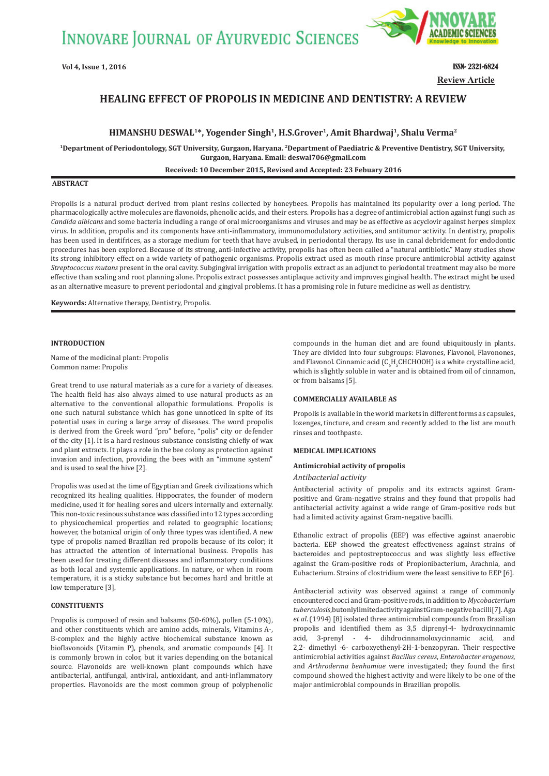**INNOVARE JOURNAL OF AYURVEDIC SCIENCES** 



**Vol 4, Issue 1, 2016 ISSN- 2321-6824 Review Article**

# **HEALING EFFECT OF PROPOLIS IN MEDICINE AND DENTISTRY: A REVIEW**

**HIMANSHU DESWAL1\*, Yogender Singh1, H.S.Grover1, Amit Bhardwaj1, Shalu Verma2**

**<sup>1</sup>Department of Periodontology, SGT University, Gurgaon, Haryana. 2Department of Paediatric & Preventive Dentistry, SGT University, Gurgaon, Haryana. Email: deswal706@gmail.com Received: 10 December 2015, Revised and Accepted: 23 Febuary 2016**

### **ABSTRACT**

Propolis is a natural product derived from plant resins collected by honeybees. Propolis has maintained its popularity over a long period. The pharmacologically active molecules are flavonoids, phenolic acids, and their esters. Propolis has a degree of antimicrobial action against fungi such as *Candida albicans* and some bacteria including a range of oral microorganisms and viruses and may be as effective as acyclovir against herpes simplex virus. In addition, propolis and its components have anti-inflammatory, immunomodulatory activities, and antitumor activity. In dentistry, propolis has been used in dentifrices, as a storage medium for teeth that have avulsed, in periodontal therapy. Its use in canal debridement for endodontic procedures has been explored. Because of its strong, anti-infective activity, propolis has often been called a "natural antibiotic." Many studies show its strong inhibitory effect on a wide variety of pathogenic organisms. Propolis extract used as mouth rinse procure antimicrobial activity against *Streptococcus mutans* present in the oral cavity. Subgingival irrigation with propolis extract as an adjunct to periodontal treatment may also be more effective than scaling and root planning alone. Propolis extract possesses antiplaque activity and improves gingival health. The extract might be used as an alternative measure to prevent periodontal and gingival problems. It has a promising role in future medicine as well as dentistry.

**Keywords:** Alternative therapy, Dentistry, Propolis.

## **INTRODUCTION**

Name of the medicinal plant: Propolis Common name: Propolis

Great trend to use natural materials as a cure for a variety of diseases. The health field has also always aimed to use natural products as an alternative to the conventional allopathic formulations. Propolis is one such natural substance which has gone unnoticed in spite of its potential uses in curing a large array of diseases. The word propolis is derived from the Greek word "pro" before, "polis" city or defender of the city [1]. It is a hard resinous substance consisting chiefly of wax and plant extracts. It plays a role in the bee colony as protection against invasion and infection, providing the bees with an "immune system" and is used to seal the hive [2].

Propolis was used at the time of Egyptian and Greek civilizations which recognized its healing qualities. Hippocrates, the founder of modern medicine, used it for healing sores and ulcers internally and externally. This non-toxic resinous substance was classified into 12 types according to physicochemical properties and related to geographic locations; however, the botanical origin of only three types was identified. A new type of propolis named Brazilian red propolis because of its color; it has attracted the attention of international business. Propolis has been used for treating different diseases and inflammatory conditions as both local and systemic applications. In nature, or when in room temperature, it is a sticky substance but becomes hard and brittle at low temperature [3].

## **CONSTITUENTS**

Propolis is composed of resin and balsams (50-60%), pollen (5-10%), and other constituents which are amino acids, minerals, Vitamins A-, B-complex and the highly active biochemical substance known as bioflavonoids (Vitamin P), phenols, and aromatic compounds [4]. It is commonly brown in color, but it varies depending on the botanical source. Flavonoids are well-known plant compounds which have antibacterial, antifungal, antiviral, antioxidant, and anti-inflammatory properties. Flavonoids are the most common group of polyphenolic compounds in the human diet and are found ubiquitously in plants. They are divided into four subgroups: Flavones, Flavonol, Flavonones, and Flavonol. Cinnamic acid  $(C_eH_5CHCHOOH)$  is a white crystalline acid, which is slightly soluble in water and is obtained from oil of cinnamon, or from balsams [5].

## **COMMERCIALLY AVAILABLE AS**

Propolis is available in the world markets in different forms as capsules, lozenges, tincture, and cream and recently added to the list are mouth rinses and toothpaste.

## **MEDICAL IMPLICATIONS**

### **Antimicrobial activity of propolis**

### *Antibacterial activity*

Antibacterial activity of propolis and its extracts against Grampositive and Gram-negative strains and they found that propolis had antibacterial activity against a wide range of Gram-positive rods but had a limited activity against Gram-negative bacilli.

Ethanolic extract of propolis (EEP) was effective against anaerobic bacteria. EEP showed the greatest effectiveness against strains of bacteroides and peptostreptococcus and was slightly less effective against the Gram-positive rods of Propionibacterium, Arachnia, and Eubacterium. Strains of clostridium were the least sensitive to EEP [6].

Antibacterial activity was observed against a range of commonly encountered cocci and Gram-positive rods, in addition to *Mycobacterium tuberculosis*, but only limited activity against Gram-negative bacilli [7]. Aga *et al*. (1994) [8] isolated three antimicrobial compounds from Brazilian propolis and identified them as 3,5 diprenyl-4- hydroxycinnamic acid, 3-prenyl - 4- dihdrocinnamoloxycinnamic acid, and 2,2- dimethyl -6- carboxyethenyl-2H-1-benzopyran. Their respective antimicrobial activities against *Bacillus cereus*, *Enterobacter erogenous,*  and *Arthroderma benhamiae* were investigated; they found the first compound showed the highest activity and were likely to be one of the major antimicrobial compounds in Brazilian propolis.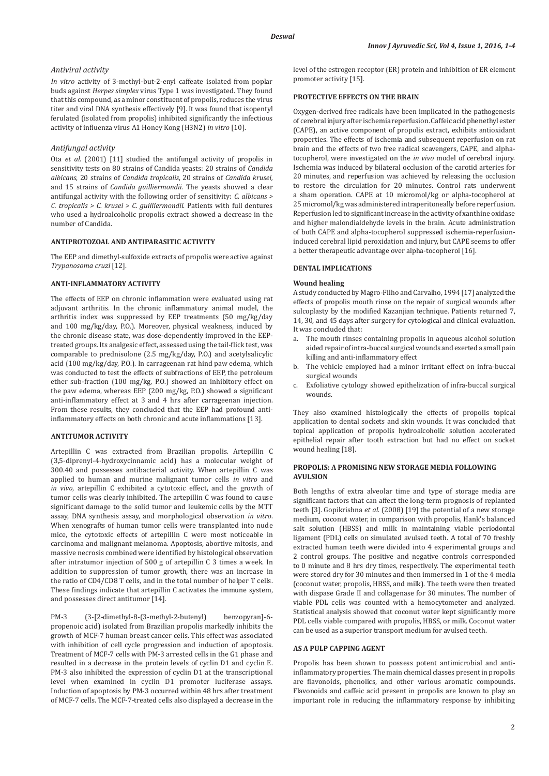## *Antiviral activity*

*In vitro* activity of 3-methyl-but-2-enyl caffeate isolated from poplar buds against *Herpes simplex* virus Type 1 was investigated. They found that this compound, as a minor constituent of propolis, reduces the virus titer and viral DNA synthesis effectively [9]. It was found that isopentyl ferulated (isolated from propolis) inhibited significantly the infectious activity of influenza virus A1 Honey Kong (H3N2) *in vitro* [10].

## *Antifungal activity*

Ota *et al*. (2001) [11] studied the antifungal activity of propolis in sensitivity tests on 80 strains of Candida yeasts: 20 strains of *Candida albicans*, 20 strains of *Candida tropicalis*, 20 strains of *Candida krusei,*  and 15 strains of *Candida guilliermondii*. The yeasts showed a clear antifungal activity with the following order of sensitivity: *C. albicans > C. tropicalis > C. krusei > C. guilliermondii*. Patients with full dentures who used a hydroalcoholic propolis extract showed a decrease in the number of Candida.

## **ANTIPROTOZOAL AND ANTIPARASITIC ACTIVITY**

The EEP and dimethyl-sulfoxide extracts of propolis were active against *Trypanosoma cruzi* [12].

## **ANTIǧINFLAMMATORY ACTIVITY**

The effects of EEP on chronic inflammation were evaluated using rat adjuvant arthritis. In the chronic inflammatory animal model, the arthritis index was suppressed by EEP treatments (50 mg/kg/day and 100 mg/kg/day, P.O.). Moreover, physical weakness, induced by the chronic disease state, was dose-dependently improved in the EEPtreated groups. Its analgesic effect, assessed using the tail-flick test, was comparable to prednisolone (2.5 mg/kg/day, P.O.) and acetylsalicylic acid (100 mg/kg/day, P.O.). In carrageenan rat hind paw edema, which was conducted to test the effects of subfractions of EEP, the petroleum ether sub-fraction (100 mg/kg, P.O.) showed an inhibitory effect on the paw edema, whereas EEP (200 mg/kg, P.O.) showed a significant anti-inflammatory effect at 3 and 4 hrs after carrageenan injection. From these results, they concluded that the EEP had profound antiinflammatory effects on both chronic and acute inflammations [13].

## **ANTITUMOR ACTIVITY**

Artepillin C was extracted from Brazilian propolis. Artepillin C (3,5-diprenyl-4-hydroxycinnamic acid) has a molecular weight of 300.40 and possesses antibacterial activity. When artepillin C was applied to human and murine malignant tumor cells *in vitro* and *in vivo*, artepillin C exhibited a cytotoxic effect, and the growth of tumor cells was clearly inhibited. The artepillin C was found to cause significant damage to the solid tumor and leukemic cells by the MTT assay, DNA synthesis assay, and morphological observation *in vitro*. When xenografts of human tumor cells were transplanted into nude mice, the cytotoxic effects of artepillin C were most noticeable in carcinoma and malignant melanoma. Apoptosis, abortive mitosis, and massive necrosis combined were identified by histological observation after intratumor injection of 500 g of artepillin C 3 times a week. In addition to suppression of tumor growth, there was an increase in the ratio of CD4/CD8 T cells, and in the total number of helper T cells. These findings indicate that artepillin C activates the immune system, and possesses direct antitumor [14].

PM-3 (3-[2-dimethyl-8-(3-methyl-2-butenyl) benzopyran]-6 propenoic acid) isolated from Brazilian propolis markedly inhibits the growth of MCF-7 human breast cancer cells. This effect was associated with inhibition of cell cycle progression and induction of apoptosis. Treatment of MCF-7 cells with PM-3 arrested cells in the G1 phase and resulted in a decrease in the protein levels of cyclin D1 and cyclin E. PM-3 also inhibited the expression of cyclin D1 at the transcriptional level when examined in cyclin D1 promoter luciferase assays. Induction of apoptosis by PM-3 occurred within 48 hrs after treatment of MCF-7 cells. The MCF-7-treated cells also displayed a decrease in the level of the estrogen receptor (ER) protein and inhibition of ER element promoter activity [15].

## **PROTECTIVE EFFECTS ON THE BRAIN**

Oxygen-derived free radicals have been implicated in the pathogenesis of cerebral injury after ischemia reperfusion. Caffeic acid phenethyl ester (CAPE), an active component of propolis extract, exhibits antioxidant properties. The effects of ischemia and subsequent reperfusion on rat brain and the effects of two free radical scavengers, CAPE, and alphatocopherol, were investigated on the *in vivo* model of cerebral injury. Ischemia was induced by bilateral occlusion of the carotid arteries for 20 minutes, and reperfusion was achieved by releasing the occlusion to restore the circulation for 20 minutes. Control rats underwent a sham operation. CAPE at 10 micromol/kg or alpha-tocopherol at 25 micromol/kg was administered intraperitoneally before reperfusion. Reperfusion led to significant increase in the activity of xanthine oxidase and higher malondialdehyde levels in the brain. Acute administration of both CAPE and alpha-tocopherol suppressed ischemia-reperfusioninduced cerebral lipid peroxidation and injury, but CAPE seems to offer a better therapeutic advantage over alpha-tocopherol [16].

## **DENTAL IMPLICATIONS**

#### **Wound healing**

A study conducted by Magro-Filho and Carvalho, 1994 [17] analyzed the effects of propolis mouth rinse on the repair of surgical wounds after sulcoplasty by the modified Kazanjian technique. Patients returned 7, 14, 30, and 45 days after surgery for cytological and clinical evaluation. It was concluded that:

- a. The mouth rinses containing propolis in aqueous alcohol solution aided repair of intra-buccal surgical wounds and exerted a small pain killing and anti-inflammatory effect
- b. The vehicle employed had a minor irritant effect on infra-buccal surgical wounds
- Exfoliative cytology showed epithelization of infra-buccal surgical wounds.

They also examined histologically the effects of propolis topical application to dental sockets and skin wounds. It was concluded that topical application of propolis hydroalcoholic solution accelerated epithelial repair after tooth extraction but had no effect on socket wound healing [18].

## **PROPOLIS: A PROMISING NEW STORAGE MEDIA FOLLOWING AVULSION**

Both lengths of extra alveolar time and type of storage media are significant factors that can affect the long-term prognosis of replanted teeth [3]. Gopikrishna *et al*. (2008) [19] the potential of a new storage medium, coconut water, in comparison with propolis, Hank's balanced salt solution (HBSS) and milk in maintaining viable periodontal ligament (PDL) cells on simulated avulsed teeth. A total of 70 freshly extracted human teeth were divided into 4 experimental groups and 2 control groups. The positive and negative controls corresponded to 0 minute and 8 hrs dry times, respectively. The experimental teeth were stored dry for 30 minutes and then immersed in 1 of the 4 media (coconut water, propolis, HBSS, and milk). The teeth were then treated with dispase Grade II and collagenase for 30 minutes. The number of viable PDL cells was counted with a hemocytometer and analyzed. Statistical analysis showed that coconut water kept significantly more PDL cells viable compared with propolis, HBSS, or milk. Coconut water can be used as a superior transport medium for avulsed teeth.

## **AS A PULP CAPPING AGENT**

Propolis has been shown to possess potent antimicrobial and antiinflammatory properties. The main chemical classes present in propolis are flavonoids, phenolics, and other various aromatic compounds. Flavonoids and caffeic acid present in propolis are known to play an important role in reducing the inflammatory response by inhibiting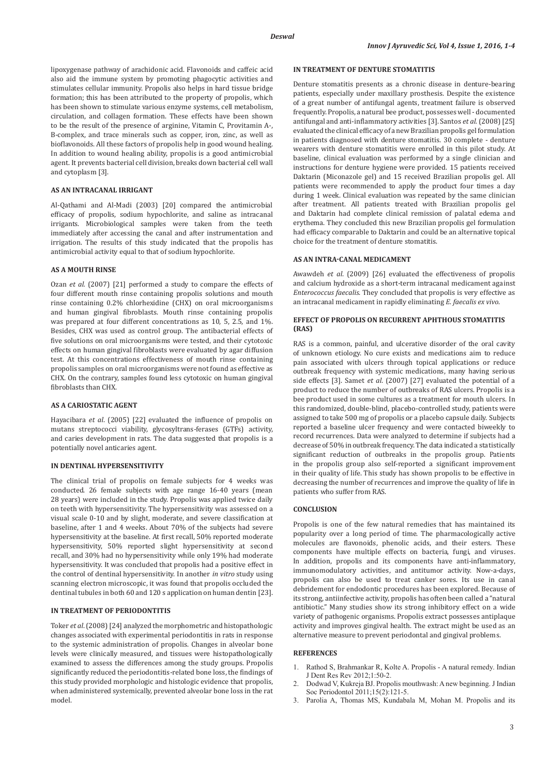lipoxygenase pathway of arachidonic acid. Flavonoids and caffeic acid also aid the immune system by promoting phagocytic activities and stimulates cellular immunity. Propolis also helps in hard tissue bridge formation; this has been attributed to the property of propolis, which has been shown to stimulate various enzyme systems, cell metabolism, circulation, and collagen formation. These effects have been shown to be the result of the presence of arginine, Vitamin C, Provitamin A-, B-complex, and trace minerals such as copper, iron, zinc, as well as bioflavonoids. All these factors of propolis help in good wound healing. In addition to wound healing ability, propolis is a good antimicrobial agent. It prevents bacterial cell division, breaks down bacterial cell wall and cytoplasm [3].

## **AS AN INTRACANAL IRRIGANT**

Al-Qathami and Al-Madi (2003) [20] compared the antimicrobial efficacy of propolis, sodium hypochlorite, and saline as intracanal irrigants. Microbiological samples were taken from the teeth immediately after accessing the canal and after instrumentation and irrigation. The results of this study indicated that the propolis has antimicrobial activity equal to that of sodium hypochlorite.

## **AS A MOUTH RINSE**

Ozan *et al.* (2007) [21] performed a study to compare the effects of four different mouth rinse containing propolis solutions and mouth rinse containing 0.2% chlorhexidine (CHX) on oral microorganisms and human gingival fibroblasts. Mouth rinse containing propolis was prepared at four different concentrations as 10, 5, 2.5, and 1%. Besides, CHX was used as control group. The antibacterial effects of five solutions on oral microorganisms were tested, and their cytotoxic effects on human gingival fibroblasts were evaluated by agar diffusion test. At this concentrations effectiveness of mouth rinse containing propolis samples on oral microorganisms were not found as effective as CHX. On the contrary, samples found less cytotoxic on human gingival fibroblasts than CHX.

## **AS A CARIOSTATIC AGENT**

Hayacibara *et al*. (2005) [22] evaluated the influence of propolis on mutans streptococci viability, glycosyltrans-ferases (GTFs) activity, and caries development in rats. The data suggested that propolis is a potentially novel anticaries agent.

## **IN DENTINAL HYPERSENSITIVITY**

The clinical trial of propolis on female subjects for 4 weeks was conducted. 26 female subjects with age range 16-40 years (mean 28 years) were included in the study. Propolis was applied twice daily on teeth with hypersensitivity. The hypersensitivity was assessed on a visual scale 0-10 and by slight, moderate, and severe classification at baseline, after 1 and 4 weeks. About 70% of the subjects had severe hypersensitivity at the baseline. At first recall, 50% reported moderate hypersensitivity, 50% reported slight hypersensitivity at second recall, and 30% had no hypersensitivity while only 19% had moderate hypersensitivity. It was concluded that propolis had a positive effect in the control of dentinal hypersensitivity. In another *in vitro* study using scanning electron microscopic, it was found that propolis occluded the dentinal tubules in both 60 and 120 s application on human dentin [23].

## **IN TREATMENT OF PERIODONTITIS**

Toker *et al*. (2008) [24] analyzed the morphometric and histopathologic changes associated with experimental periodontitis in rats in response to the systemic administration of propolis. Changes in alveolar bone levels were clinically measured, and tissues were histopathologically examined to assess the differences among the study groups. Propolis significantly reduced the periodontitis-related bone loss, the findings of this study provided morphologic and histologic evidence that propolis, when administered systemically, prevented alveolar bone loss in the rat model.

### **IN TREATMENT OF DENTURE STOMATITIS**

Denture stomatitis presents as a chronic disease in denture-bearing patients, especially under maxillary prosthesis. Despite the existence of a great number of antifungal agents, treatment failure is observed frequently. Propolis, a natural bee product, possesses well - documented antifungal and anti-inflammatory activities [3]. Santos *et al.* (2008) [25] evaluated the clinical efficacy of a new Brazilian propolis gel formulation in patients diagnosed with denture stomatitis. 30 complete - denture wearers with denture stomatitis were enrolled in this pilot study. At baseline, clinical evaluation was performed by a single clinician and instructions for denture hygiene were provided. 15 patients received Daktarin (Miconazole gel) and 15 received Brazilian propolis gel. All patients were recommended to apply the product four times a day during 1 week. Clinical evaluation was repeated by the same clinician after treatment. All patients treated with Brazilian propolis gel and Daktarin had complete clinical remission of palatal edema and erythema. They concluded this new Brazilian propolis gel formulation had efficacy comparable to Daktarin and could be an alternative topical choice for the treatment of denture stomatitis.

## **AS AN INTRAǧCANAL MEDICAMENT**

Awawdeh *et al*. (2009) [26] evaluated the effectiveness of propolis and calcium hydroxide as a short-term intracanal medicament against *Enterococcus faecalis*. They concluded that propolis is very effective as an intracanal medicament in rapidly eliminating *E. faecalis ex vivo*.

## **EFFECT OF PROPOLIS ON RECURRENT APHTHOUS STOMATITIS ȍRASȎ**

RAS is a common, painful, and ulcerative disorder of the oral cavity of unknown etiology. No cure exists and medications aim to reduce pain associated with ulcers through topical applications or reduce outbreak frequency with systemic medications, many having serious side effects [3]. Samet *et al*. (2007) [27] evaluated the potential of a product to reduce the number of outbreaks of RAS ulcers. Propolis is a bee product used in some cultures as a treatment for mouth ulcers. In this randomized, double-blind, placebo-controlled study, patients were assigned to take 500 mg of propolis or a placebo capsule daily. Subjects reported a baseline ulcer frequency and were contacted biweekly to record recurrences. Data were analyzed to determine if subjects had a decrease of 50% in outbreak frequency. The data indicated a statistically significant reduction of outbreaks in the propolis group. Patients in the propolis group also self-reported a significant improvement in their quality of life. This study has shown propolis to be effective in decreasing the number of recurrences and improve the quality of life in patients who suffer from RAS.

## **CONCLUSION**

Propolis is one of the few natural remedies that has maintained its popularity over a long period of time. The pharmacologically active molecules are flavonoids, phenolic acids, and their esters. These components have multiple effects on bacteria, fungi, and viruses. In addition, propolis and its components have anti-inflammatory, immunomodulatory activities, and antitumor activity. Now-a-days, propolis can also be used to treat canker sores. Its use in canal debridement for endodontic procedures has been explored. Because of its strong, antiinfective activity, propolis has often been called a "natural antibiotic." Many studies show its strong inhibitory effect on a wide variety of pathogenic organisms. Propolis extract possesses antiplaque activity and improves gingival health. The extract might be used as an alternative measure to prevent periodontal and gingival problems.

### **REFERENCES**

- Rathod S, Brahmankar R, Kolte A. Propolis A natural remedy. Indian J Dent Res Rev 2012;1:50-2.
- 2. Dodwad V, Kukreja BJ. Propolis mouthwash: A new beginning. J Indian Soc Periodontol 2011;15(2):121-5.
- 3. Parolia A, Thomas MS, Kundabala M, Mohan M. Propolis and its